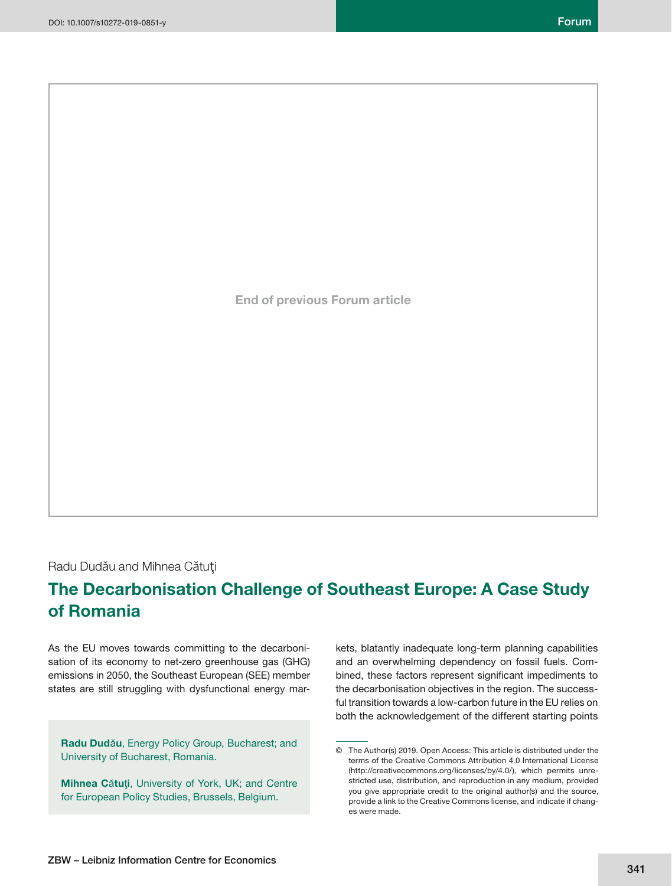**End of previous Forum article**

Radu Dudău and Mihnea Cătuţi

# **The Decarbonisation Challenge of Southeast Europe: A Case Study of Romania**

As the EU moves towards committing to the decarbonisation of its economy to net-zero greenhouse gas (GHG) emissions in 2050, the Southeast European (SEE) member states are still struggling with dysfunctional energy mar-

**Radu Dud**ă**u**, Energy Policy Group, Bucharest; and University of Bucharest, Romania.

**Mihnea C**ă**tu**ţ**i**, University of York, UK; and Centre for European Policy Studies, Brussels, Belgium.

kets, blatantly inadequate long-term planning capabilities and an overwhelming dependency on fossil fuels. Combined, these factors represent significant impediments to the decarbonisation objectives in the region. The successful transition towards a low-carbon future in the EU relies on both the acknowledgement of the different starting points

<sup>©</sup> The Author(s) 2019. Open Access: This article is distributed under the terms of the Creative Commons Attribution 4.0 International License (http://creativecommons.org/licenses/by/4.0/), which permits unrestricted use, distribution, and reproduction in any medium, provided you give appropriate credit to the original author(s) and the source, provide a link to the Creative Commons license, and indicate if changes were made.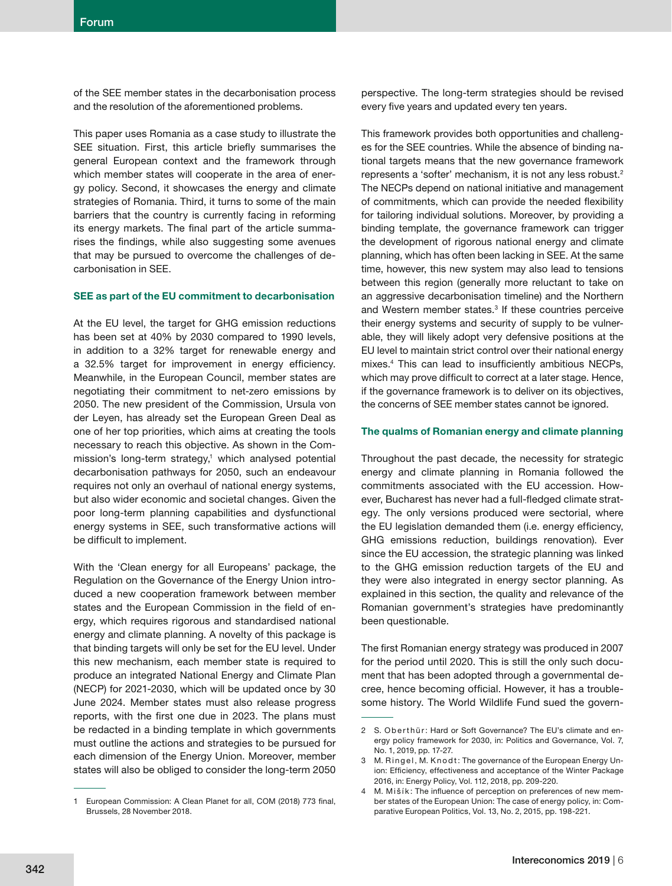of the SEE member states in the decarbonisation process and the resolution of the aforementioned problems.

This paper uses Romania as a case study to illustrate the SEE situation. First, this article briefly summarises the general European context and the framework through which member states will cooperate in the area of energy policy. Second, it showcases the energy and climate strategies of Romania. Third, it turns to some of the main barriers that the country is currently facing in reforming its energy markets. The final part of the article summarises the findings, while also suggesting some avenues that may be pursued to overcome the challenges of decarbonisation in SEE.

## **SEE as part of the EU commitment to decarbonisation**

At the EU level, the target for GHG emission reductions has been set at 40% by 2030 compared to 1990 levels, in addition to a 32% target for renewable energy and a 32.5% target for improvement in energy efficiency. Meanwhile, in the European Council, member states are negotiating their commitment to net-zero emissions by 2050. The new president of the Commission, Ursula von der Leyen, has already set the European Green Deal as one of her top priorities, which aims at creating the tools necessary to reach this objective. As shown in the Commission's long-term strategy,<sup>1</sup> which analysed potential decarbonisation pathways for 2050, such an endeavour requires not only an overhaul of national energy systems, but also wider economic and societal changes. Given the poor long-term planning capabilities and dysfunctional energy systems in SEE, such transformative actions will be difficult to implement.

With the 'Clean energy for all Europeans' package, the Regulation on the Governance of the Energy Union introduced a new cooperation framework between member states and the European Commission in the field of energy, which requires rigorous and standardised national energy and climate planning. A novelty of this package is that binding targets will only be set for the EU level. Under this new mechanism, each member state is required to produce an integrated National Energy and Climate Plan (NECP) for 2021-2030, which will be updated once by 30 June 2024. Member states must also release progress reports, with the first one due in 2023. The plans must be redacted in a binding template in which governments must outline the actions and strategies to be pursued for each dimension of the Energy Union. Moreover, member states will also be obliged to consider the long-term 2050

perspective. The long-term strategies should be revised every five years and updated every ten years.

This framework provides both opportunities and challenges for the SEE countries. While the absence of binding national targets means that the new governance framework represents a 'softer' mechanism, it is not any less robust.2 The NECPs depend on national initiative and management of commitments, which can provide the needed flexibility for tailoring individual solutions. Moreover, by providing a binding template, the governance framework can trigger the development of rigorous national energy and climate planning, which has often been lacking in SEE. At the same time, however, this new system may also lead to tensions between this region (generally more reluctant to take on an aggressive decarbonisation timeline) and the Northern and Western member states.<sup>3</sup> If these countries perceive their energy systems and security of supply to be vulnerable, they will likely adopt very defensive positions at the EU level to maintain strict control over their national energy mixes.<sup>4</sup> This can lead to insufficiently ambitious NECPs, which may prove difficult to correct at a later stage. Hence, if the governance framework is to deliver on its objectives, the concerns of SEE member states cannot be ignored.

## **The qualms of Romanian energy and climate planning**

Throughout the past decade, the necessity for strategic energy and climate planning in Romania followed the commitments associated with the EU accession. However, Bucharest has never had a full-fledged climate strategy. The only versions produced were sectorial, where the EU legislation demanded them (i.e. energy efficiency, GHG emissions reduction, buildings renovation). Ever since the EU accession, the strategic planning was linked to the GHG emission reduction targets of the EU and they were also integrated in energy sector planning. As explained in this section, the quality and relevance of the Romanian government's strategies have predominantly been questionable.

The first Romanian energy strategy was produced in 2007 for the period until 2020. This is still the only such document that has been adopted through a governmental decree, hence becoming official. However, it has a troublesome history. The World Wildlife Fund sued the govern-

<sup>1</sup> European Commission: A Clean Planet for all, COM (2018) 773 final, Brussels, 28 November 2018.

<sup>2</sup> S. Oberthür: Hard or Soft Governance? The EU's climate and energy policy framework for 2030, in: Politics and Governance, Vol. 7, No. 1, 2019, pp. 17-27.

<sup>3</sup> M. Ringel, M. Knodt: The governance of the European Energy Union: Efficiency, effectiveness and acceptance of the Winter Package 2016, in: Energy Policy, Vol. 112, 2018, pp. 209-220.

<sup>4</sup> M. Mišík: The influence of perception on preferences of new member states of the European Union: The case of energy policy, in: Comparative European Politics, Vol. 13, No. 2, 2015, pp. 198-221.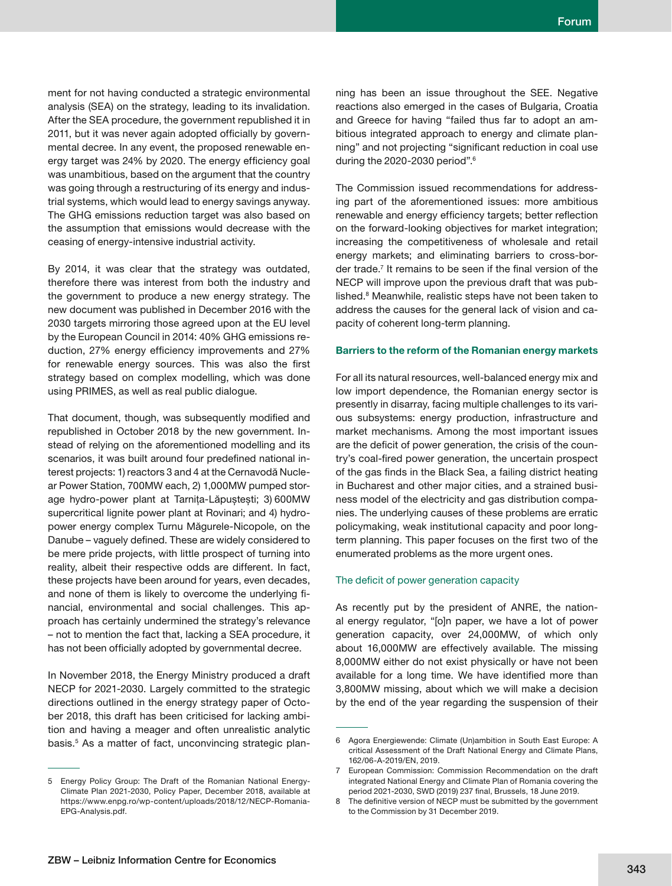ment for not having conducted a strategic environmental analysis (SEA) on the strategy, leading to its invalidation. After the SEA procedure, the government republished it in 2011, but it was never again adopted officially by governmental decree. In any event, the proposed renewable energy target was 24% by 2020. The energy efficiency goal was unambitious, based on the argument that the country was going through a restructuring of its energy and industrial systems, which would lead to energy savings anyway. The GHG emissions reduction target was also based on the assumption that emissions would decrease with the ceasing of energy-intensive industrial activity.

By 2014, it was clear that the strategy was outdated, therefore there was interest from both the industry and the government to produce a new energy strategy. The new document was published in December 2016 with the 2030 targets mirroring those agreed upon at the EU level by the European Council in 2014: 40% GHG emissions reduction, 27% energy efficiency improvements and 27% for renewable energy sources. This was also the first strategy based on complex modelling, which was done using PRIMES, as well as real public dialogue.

That document, though, was subsequently modified and republished in October 2018 by the new government. Instead of relying on the aforementioned modelling and its scenarios, it was built around four predefined national interest projects: 1) reactors 3 and 4 at the Cernavodă Nuclear Power Station, 700MW each, 2) 1,000MW pumped storage hydro-power plant at Tarnița-Lăpuștești; 3) 600MW supercritical lignite power plant at Rovinari; and 4) hydropower energy complex Turnu Măgurele-Nicopole, on the Danube – vaguely defined. These are widely considered to be mere pride projects, with little prospect of turning into reality, albeit their respective odds are different. In fact, these projects have been around for years, even decades, and none of them is likely to overcome the underlying financial, environmental and social challenges. This approach has certainly undermined the strategy's relevance – not to mention the fact that, lacking a SEA procedure, it has not been officially adopted by governmental decree.

In November 2018, the Energy Ministry produced a draft NECP for 2021-2030. Largely committed to the strategic directions outlined in the energy strategy paper of October 2018, this draft has been criticised for lacking ambition and having a meager and often unrealistic analytic basis.<sup>5</sup> As a matter of fact, unconvincing strategic plan-

ning has been an issue throughout the SEE. Negative reactions also emerged in the cases of Bulgaria, Croatia and Greece for having "failed thus far to adopt an ambitious integrated approach to energy and climate planning" and not projecting "significant reduction in coal use during the 2020-2030 period".<sup>6</sup>

The Commission issued recommendations for addressing part of the aforementioned issues: more ambitious renewable and energy efficiency targets; better reflection on the forward-looking objectives for market integration; increasing the competitiveness of wholesale and retail energy markets; and eliminating barriers to cross-border trade.<sup>7</sup> It remains to be seen if the final version of the NECP will improve upon the previous draft that was published.<sup>8</sup> Meanwhile, realistic steps have not been taken to address the causes for the general lack of vision and capacity of coherent long-term planning.

#### **Barriers to the reform of the Romanian energy markets**

For all its natural resources, well-balanced energy mix and low import dependence, the Romanian energy sector is presently in disarray, facing multiple challenges to its various subsystems: energy production, infrastructure and market mechanisms. Among the most important issues are the deficit of power generation, the crisis of the country's coal-fired power generation, the uncertain prospect of the gas finds in the Black Sea, a failing district heating in Bucharest and other major cities, and a strained business model of the electricity and gas distribution companies. The underlying causes of these problems are erratic policymaking, weak institutional capacity and poor longterm planning. This paper focuses on the first two of the enumerated problems as the more urgent ones.

#### The deficit of power generation capacity

As recently put by the president of ANRE, the national energy regulator, "[o]n paper, we have a lot of power generation capacity, over 24,000MW, of which only about 16,000MW are effectively available. The missing 8,000MW either do not exist physically or have not been available for a long time. We have identified more than 3,800MW missing, about which we will make a decision by the end of the year regarding the suspension of their

<sup>5</sup> Energy Policy Group: The Draft of the Romanian National Energy-Climate Plan 2021-2030, Policy Paper, December 2018, available at https://www.enpg.ro/wp-content/uploads/2018/12/NECP-Romania-EPG-Analysis.pdf.

<sup>6</sup> Agora Energiewende: Climate (Un)ambition in South East Europe: A critical Assessment of the Draft National Energy and Climate Plans, 162/06-A-2019/EN, 2019.

<sup>7</sup> European Commission: Commission Recommendation on the draft integrated National Energy and Climate Plan of Romania covering the period 2021-2030, SWD (2019) 237 final, Brussels, 18 June 2019.

<sup>8</sup> The definitive version of NECP must be submitted by the government to the Commission by 31 December 2019.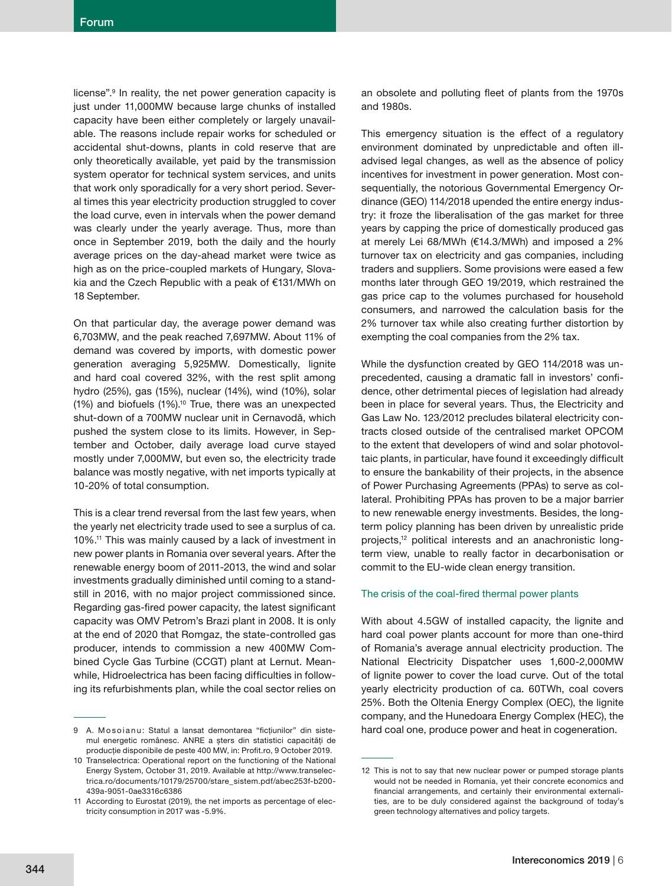license".9 In reality, the net power generation capacity is just under 11,000MW because large chunks of installed capacity have been either completely or largely unavailable. The reasons include repair works for scheduled or accidental shut-downs, plants in cold reserve that are only theoretically available, yet paid by the transmission system operator for technical system services, and units that work only sporadically for a very short period. Several times this year electricity production struggled to cover the load curve, even in intervals when the power demand was clearly under the yearly average. Thus, more than once in September 2019, both the daily and the hourly average prices on the day-ahead market were twice as high as on the price-coupled markets of Hungary, Slovakia and the Czech Republic with a peak of €131/MWh on 18 September.

On that particular day, the average power demand was 6,703MW, and the peak reached 7,697MW. About 11% of demand was covered by imports, with domestic power generation averaging 5,925MW. Domestically, lignite and hard coal covered 32%, with the rest split among hydro (25%), gas (15%), nuclear (14%), wind (10%), solar (1%) and biofuels (1%).10 True, there was an unexpected shut-down of a 700MW nuclear unit in Cernavodă, which pushed the system close to its limits. However, in September and October, daily average load curve stayed mostly under 7,000MW, but even so, the electricity trade balance was mostly negative, with net imports typically at 10-20% of total consumption.

This is a clear trend reversal from the last few years, when the yearly net electricity trade used to see a surplus of ca. 10%.11 This was mainly caused by a lack of investment in new power plants in Romania over several years. After the renewable energy boom of 2011-2013, the wind and solar investments gradually diminished until coming to a standstill in 2016, with no major project commissioned since. Regarding gas-fired power capacity, the latest significant capacity was OMV Petrom's Brazi plant in 2008. It is only at the end of 2020 that Romgaz, the state-controlled gas producer, intends to commission a new 400MW Combined Cycle Gas Turbine (CCGT) plant at Lernut. Meanwhile, Hidroelectrica has been facing difficulties in following its refurbishments plan, while the coal sector relies on

an obsolete and polluting fleet of plants from the 1970s and 1980s.

This emergency situation is the effect of a regulatory environment dominated by unpredictable and often illadvised legal changes, as well as the absence of policy incentives for investment in power generation. Most consequentially, the notorious Governmental Emergency Ordinance (GEO) 114/2018 upended the entire energy industry: it froze the liberalisation of the gas market for three years by capping the price of domestically produced gas at merely Lei 68/MWh (€14.3/MWh) and imposed a 2% turnover tax on electricity and gas companies, including traders and suppliers. Some provisions were eased a few months later through GEO 19/2019, which restrained the gas price cap to the volumes purchased for household consumers, and narrowed the calculation basis for the 2% turnover tax while also creating further distortion by exempting the coal companies from the 2% tax.

While the dysfunction created by GEO 114/2018 was unprecedented, causing a dramatic fall in investors' confidence, other detrimental pieces of legislation had already been in place for several years. Thus, the Electricity and Gas Law No. 123/2012 precludes bilateral electricity contracts closed outside of the centralised market OPCOM to the extent that developers of wind and solar photovoltaic plants, in particular, have found it exceedingly difficult to ensure the bankability of their projects, in the absence of Power Purchasing Agreements (PPAs) to serve as collateral. Prohibiting PPAs has proven to be a major barrier to new renewable energy investments. Besides, the longterm policy planning has been driven by unrealistic pride projects,12 political interests and an anachronistic longterm view, unable to really factor in decarbonisation or commit to the EU-wide clean energy transition.

### The crisis of the coal-fired thermal power plants

With about 4.5GW of installed capacity, the lignite and hard coal power plants account for more than one-third of Romania's average annual electricity production. The National Electricity Dispatcher uses 1,600-2,000MW of lignite power to cover the load curve. Out of the total yearly electricity production of ca. 60TWh, coal covers 25%. Both the Oltenia Energy Complex (OEC), the lignite company, and the Hunedoara Energy Complex (HEC), the hard coal one, produce power and heat in cogeneration.

<sup>9</sup> A. Mosoianu: Statul a lansat demontarea "fictiunilor" din sistemul energetic românesc. ANRE a șters din statistici capacități de producție disponibile de peste 400 MW, in: Profit.ro, 9 October 2019.

<sup>10</sup> Transelectrica: Operational report on the functioning of the National Energy System, October 31, 2019. Available at http://www.transelectrica.ro/documents/10179/25700/stare\_sistem.pdf/abec253f-b200- 439a-9051-0ae3316c6386

<sup>11</sup> According to Eurostat (2019), the net imports as percentage of electricity consumption in 2017 was -5.9%.

<sup>12</sup> This is not to say that new nuclear power or pumped storage plants would not be needed in Romania, yet their concrete economics and financial arrangements, and certainly their environmental externalities, are to be duly considered against the background of today's green technology alternatives and policy targets.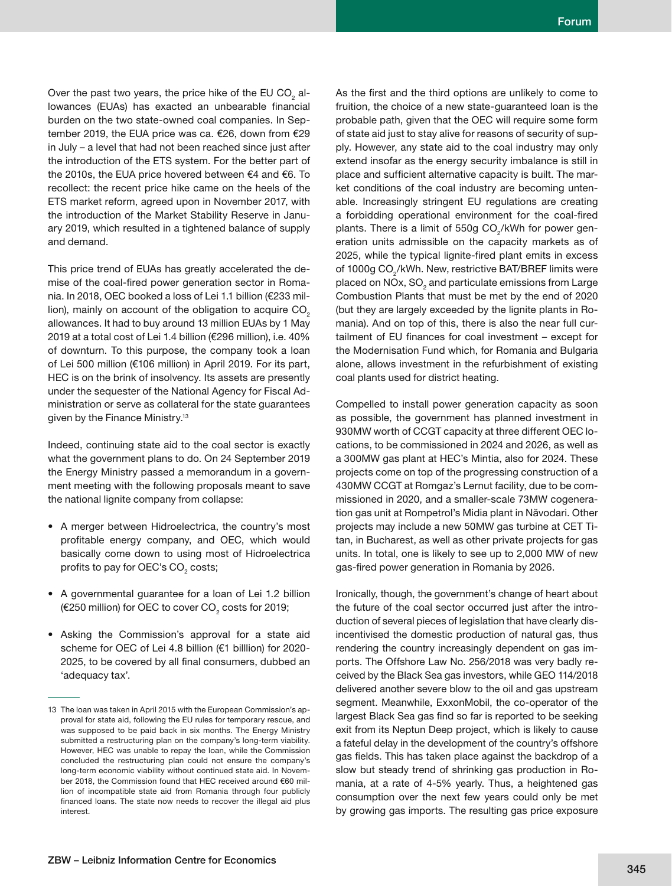Over the past two years, the price hike of the EU CO $_{\tiny 2}$  allowances (EUAs) has exacted an unbearable financial burden on the two state-owned coal companies. In September 2019, the EUA price was ca. €26, down from €29 in July – a level that had not been reached since just after the introduction of the ETS system. For the better part of the 2010s, the EUA price hovered between €4 and €6. To recollect: the recent price hike came on the heels of the ETS market reform, agreed upon in November 2017, with the introduction of the Market Stability Reserve in January 2019, which resulted in a tightened balance of supply and demand.

This price trend of EUAs has greatly accelerated the demise of the coal-fired power generation sector in Romania. In 2018, OEC booked a loss of Lei 1.1 billion (€233 million), mainly on account of the obligation to acquire  $CO<sub>2</sub>$ allowances. It had to buy around 13 million EUAs by 1 May 2019 at a total cost of Lei 1.4 billion (€296 million), i.e. 40% of downturn. To this purpose, the company took a loan of Lei 500 million (€106 million) in April 2019. For its part, HEC is on the brink of insolvency. Its assets are presently under the sequester of the National Agency for Fiscal Administration or serve as collateral for the state guarantees given by the Finance Ministry.13

Indeed, continuing state aid to the coal sector is exactly what the government plans to do. On 24 September 2019 the Energy Ministry passed a memorandum in a government meeting with the following proposals meant to save the national lignite company from collapse:

- A merger between Hidroelectrica, the country's most profitable energy company, and OEC, which would basically come down to using most of Hidroelectrica profits to pay for OEC's CO $_{\tiny 2}$  costs;
- A governmental guarantee for a loan of Lei 1.2 billion (€250 million) for OEC to cover CO $_{\tiny 2}$  costs for 2019;
- Asking the Commission's approval for a state aid scheme for OEC of Lei 4.8 billion (€1 billlion) for 2020- 2025, to be covered by all final consumers, dubbed an 'adequacy tax'.

As the first and the third options are unlikely to come to fruition, the choice of a new state-guaranteed loan is the probable path, given that the OEC will require some form of state aid just to stay alive for reasons of security of supply. However, any state aid to the coal industry may only extend insofar as the energy security imbalance is still in place and sufficient alternative capacity is built. The market conditions of the coal industry are becoming untenable. Increasingly stringent EU regulations are creating a forbidding operational environment for the coal-fired plants. There is a limit of 550g CO<sub>2</sub>/kWh for power generation units admissible on the capacity markets as of 2025, while the typical lignite-fired plant emits in excess of 1000g CO<sub>2</sub>/kWh. New, restrictive BAT/BREF limits were placed on NOx, SO $_{\rm 2}$  and particulate emissions from Large Combustion Plants that must be met by the end of 2020 (but they are largely exceeded by the lignite plants in Romania). And on top of this, there is also the near full curtailment of EU finances for coal investment - except for the Modernisation Fund which, for Romania and Bulgaria alone, allows investment in the refurbishment of existing coal plants used for district heating.

Compelled to install power generation capacity as soon as possible, the government has planned investment in 930MW worth of CCGT capacity at three different OEC locations, to be commissioned in 2024 and 2026, as well as a 300MW gas plant at HEC's Mintia, also for 2024. These projects come on top of the progressing construction of a 430MW CCGT at Romgaz's Lernut facility, due to be commissioned in 2020, and a smaller-scale 73MW cogeneration gas unit at Rompetrol's Midia plant in Năvodari. Other projects may include a new 50MW gas turbine at CET Titan, in Bucharest, as well as other private projects for gas units. In total, one is likely to see up to 2,000 MW of new gas-fired power generation in Romania by 2026.

Ironically, though, the government's change of heart about the future of the coal sector occurred just after the introduction of several pieces of legislation that have clearly disincentivised the domestic production of natural gas, thus rendering the country increasingly dependent on gas imports. The Offshore Law No. 256/2018 was very badly received by the Black Sea gas investors, while GEO 114/2018 delivered another severe blow to the oil and gas upstream segment. Meanwhile, ExxonMobil, the co-operator of the largest Black Sea gas find so far is reported to be seeking exit from its Neptun Deep project, which is likely to cause a fateful delay in the development of the country's offshore gas fields. This has taken place against the backdrop of a slow but steady trend of shrinking gas production in Romania, at a rate of 4-5% yearly. Thus, a heightened gas consumption over the next few years could only be met by growing gas imports. The resulting gas price exposure

<sup>13</sup> The loan was taken in April 2015 with the European Commission's approval for state aid, following the EU rules for temporary rescue, and was supposed to be paid back in six months. The Energy Ministry submitted a restructuring plan on the company's long-term viability. However, HEC was unable to repay the loan, while the Commission concluded the restructuring plan could not ensure the company's long-term economic viability without continued state aid. In November 2018, the Commission found that HEC received around €60 million of incompatible state aid from Romania through four publicly financed loans. The state now needs to recover the illegal aid plus interest.